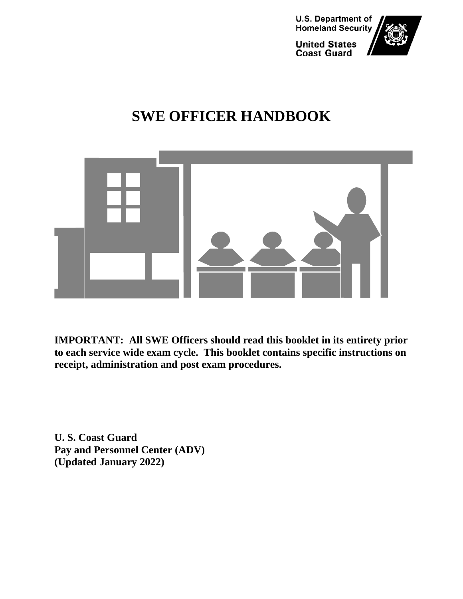

## **SWE OFFICER HANDBOOK**



**IMPORTANT: All SWE Officers should read this booklet in its entirety prior to each service wide exam cycle. This booklet contains specific instructions on receipt, administration and post exam procedures.** 

**U. S. Coast Guard Pay and Personnel Center (ADV) (Updated January 2022)**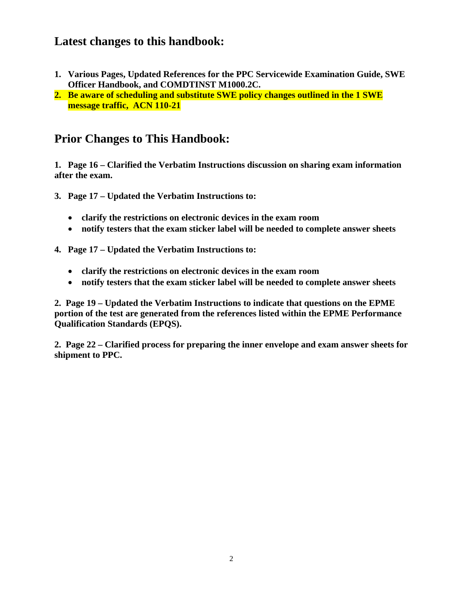#### **Latest changes to this handbook:**

- **1. Various Pages, Updated References for the PPC Servicewide Examination Guide, SWE Officer Handbook, and COMDTINST M1000.2C.**
- **2. Be aware of scheduling and substitute SWE policy changes outlined in the 1 SWE message traffic, ACN 110-21**

#### **Prior Changes to This Handbook:**

**1. Page 16 – Clarified the Verbatim Instructions discussion on sharing exam information after the exam.**

- **3. Page 17 – Updated the Verbatim Instructions to:**
	- **clarify the restrictions on electronic devices in the exam room**
	- **notify testers that the exam sticker label will be needed to complete answer sheets**
- **4. Page 17 – Updated the Verbatim Instructions to:**
	- **clarify the restrictions on electronic devices in the exam room**
	- **notify testers that the exam sticker label will be needed to complete answer sheets**

**2. Page 19 – Updated the Verbatim Instructions to indicate that questions on the EPME portion of the test are generated from the references listed within the EPME Performance Qualification Standards (EPQS).**

**2. Page 22 – Clarified process for preparing the inner envelope and exam answer sheets for shipment to PPC.**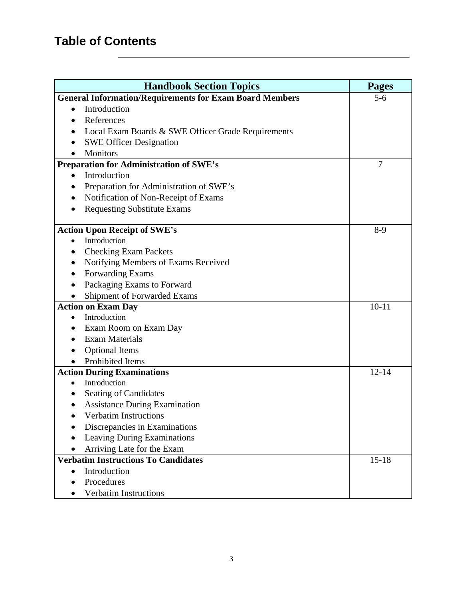### **Table of Contents**

| <b>Handbook Section Topics</b>                                 | <b>Pages</b>   |
|----------------------------------------------------------------|----------------|
| <b>General Information/Requirements for Exam Board Members</b> | $5 - 6$        |
| Introduction<br>$\bullet$                                      |                |
| References                                                     |                |
| Local Exam Boards & SWE Officer Grade Requirements             |                |
| <b>SWE Officer Designation</b>                                 |                |
| Monitors                                                       |                |
| <b>Preparation for Administration of SWE's</b>                 | $\overline{7}$ |
| Introduction<br>$\bullet$                                      |                |
| Preparation for Administration of SWE's<br>$\bullet$           |                |
| Notification of Non-Receipt of Exams                           |                |
| <b>Requesting Substitute Exams</b>                             |                |
|                                                                |                |
| <b>Action Upon Receipt of SWE's</b>                            | $8-9$          |
| Introduction                                                   |                |
| <b>Checking Exam Packets</b>                                   |                |
| Notifying Members of Exams Received                            |                |
| Forwarding Exams                                               |                |
| Packaging Exams to Forward                                     |                |
| Shipment of Forwarded Exams                                    |                |
| <b>Action on Exam Day</b>                                      | $10 - 11$      |
| Introduction                                                   |                |
| Exam Room on Exam Day                                          |                |
| <b>Exam Materials</b>                                          |                |
| <b>Optional Items</b>                                          |                |
| Prohibited Items                                               |                |
| <b>Action During Examinations</b>                              | $12 - 14$      |
| Introduction                                                   |                |
| Seating of Candidates                                          |                |
| <b>Assistance During Examination</b>                           |                |
| Verbatim Instructions                                          |                |
| Discrepancies in Examinations                                  |                |
| Leaving During Examinations                                    |                |
| Arriving Late for the Exam                                     |                |
| <b>Verbatim Instructions To Candidates</b>                     | $15 - 18$      |
| Introduction<br>$\bullet$                                      |                |
| Procedures                                                     |                |
| <b>Verbatim Instructions</b>                                   |                |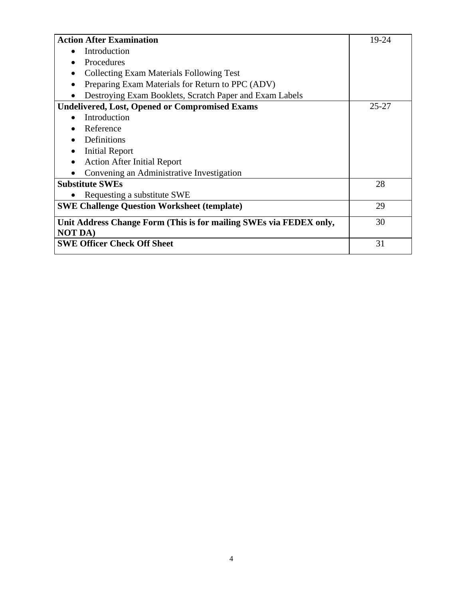| <b>Action After Examination</b>                                                      | 19-24     |
|--------------------------------------------------------------------------------------|-----------|
| Introduction                                                                         |           |
| Procedures                                                                           |           |
| <b>Collecting Exam Materials Following Test</b>                                      |           |
| Preparing Exam Materials for Return to PPC (ADV)                                     |           |
| Destroying Exam Booklets, Scratch Paper and Exam Labels                              |           |
| <b>Undelivered, Lost, Opened or Compromised Exams</b>                                | $25 - 27$ |
| Introduction                                                                         |           |
| Reference                                                                            |           |
| Definitions                                                                          |           |
| <b>Initial Report</b>                                                                |           |
| <b>Action After Initial Report</b>                                                   |           |
| Convening an Administrative Investigation                                            |           |
| <b>Substitute SWEs</b>                                                               | 28        |
| Requesting a substitute SWE                                                          |           |
| <b>SWE Challenge Question Worksheet (template)</b>                                   | 29        |
| Unit Address Change Form (This is for mailing SWEs via FEDEX only,<br><b>NOT DA)</b> | 30        |
| <b>SWE Officer Check Off Sheet</b>                                                   | 31        |
|                                                                                      |           |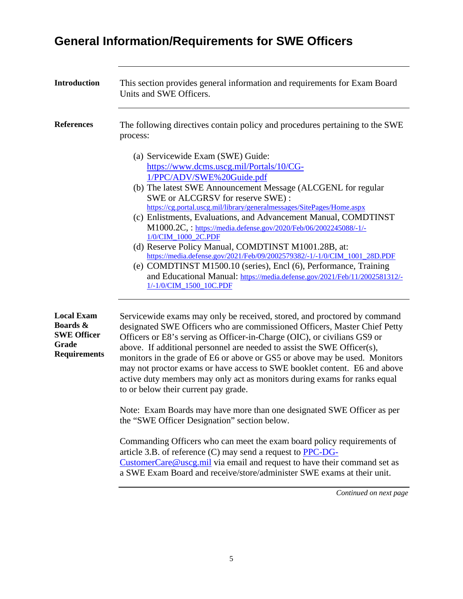## **General Information/Requirements for SWE Officers**

| <b>Introduction</b>                                                                 | This section provides general information and requirements for Exam Board<br>Units and SWE Officers.                                                                                                                                                                                                                                                                                                                                                                                                                                                                                                                                                                                                                                                                    |
|-------------------------------------------------------------------------------------|-------------------------------------------------------------------------------------------------------------------------------------------------------------------------------------------------------------------------------------------------------------------------------------------------------------------------------------------------------------------------------------------------------------------------------------------------------------------------------------------------------------------------------------------------------------------------------------------------------------------------------------------------------------------------------------------------------------------------------------------------------------------------|
| <b>References</b>                                                                   | The following directives contain policy and procedures pertaining to the SWE<br>process:                                                                                                                                                                                                                                                                                                                                                                                                                                                                                                                                                                                                                                                                                |
|                                                                                     | (a) Servicewide Exam (SWE) Guide:<br>https://www.dcms.uscg.mil/Portals/10/CG-<br>1/PPC/ADV/SWE%20Guide.pdf<br>(b) The latest SWE Announcement Message (ALCGENL for regular<br>SWE or ALCGRSV for reserve SWE):<br>https://cg.portal.uscg.mil/library/generalmessages/SitePages/Home.aspx<br>(c) Enlistments, Evaluations, and Advancement Manual, COMDTINST<br>M1000.2C,: https://media.defense.gov/2020/Feb/06/2002245088/-1/-<br>1/0/CIM 1000 2C.PDF<br>(d) Reserve Policy Manual, COMDTINST M1001.28B, at:<br>https://media.defense.gov/2021/Feb/09/2002579382/-1/-1/0/CIM_1001_28D.PDF<br>(e) COMDTINST M1500.10 (series), Encl (6), Performance, Training<br>and Educational Manual: https://media.defense.gov/2021/Feb/11/2002581312/-<br>1/-1/0/CIM_1500_10C.PDF |
| <b>Local Exam</b><br>Boards &<br><b>SWE Officer</b><br>Grade<br><b>Requirements</b> | Servicewide exams may only be received, stored, and proctored by command<br>designated SWE Officers who are commissioned Officers, Master Chief Petty<br>Officers or E8's serving as Officer-in-Charge (OIC), or civilians GS9 or<br>above. If additional personnel are needed to assist the SWE Officer(s),<br>monitors in the grade of E6 or above or GS5 or above may be used. Monitors<br>may not proctor exams or have access to SWE booklet content. E6 and above<br>active duty members may only act as monitors during exams for ranks equal<br>to or below their current pay grade.                                                                                                                                                                            |
|                                                                                     | Note: Exam Boards may have more than one designated SWE Officer as per<br>the "SWE Officer Designation" section below.<br>Commanding Officers who can meet the exam board policy requirements of<br>article 3.B. of reference $(C)$ may send a request to $\overline{PPC\text{-}DG\text{-}}$<br>CustomerCare@uscg.mil via email and request to have their command set as<br>a SWE Exam Board and receive/store/administer SWE exams at their unit.                                                                                                                                                                                                                                                                                                                      |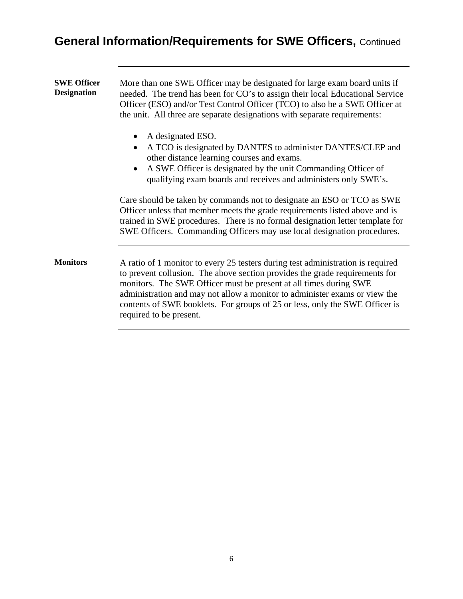## **General Information/Requirements for SWE Officers,** Continued

| <b>SWE Officer</b><br><b>Designation</b> | More than one SWE Officer may be designated for large exam board units if<br>needed. The trend has been for CO's to assign their local Educational Service<br>Officer (ESO) and/or Test Control Officer (TCO) to also be a SWE Officer at<br>the unit. All three are separate designations with separate requirements:                                                                                                      |
|------------------------------------------|-----------------------------------------------------------------------------------------------------------------------------------------------------------------------------------------------------------------------------------------------------------------------------------------------------------------------------------------------------------------------------------------------------------------------------|
|                                          | A designated ESO.<br>A TCO is designated by DANTES to administer DANTES/CLEP and<br>other distance learning courses and exams.<br>A SWE Officer is designated by the unit Commanding Officer of<br>qualifying exam boards and receives and administers only SWE's.                                                                                                                                                          |
|                                          | Care should be taken by commands not to designate an ESO or TCO as SWE<br>Officer unless that member meets the grade requirements listed above and is<br>trained in SWE procedures. There is no formal designation letter template for<br>SWE Officers. Commanding Officers may use local designation procedures.                                                                                                           |
| <b>Monitors</b>                          | A ratio of 1 monitor to every 25 testers during test administration is required<br>to prevent collusion. The above section provides the grade requirements for<br>monitors. The SWE Officer must be present at all times during SWE<br>administration and may not allow a monitor to administer exams or view the<br>contents of SWE booklets. For groups of 25 or less, only the SWE Officer is<br>required to be present. |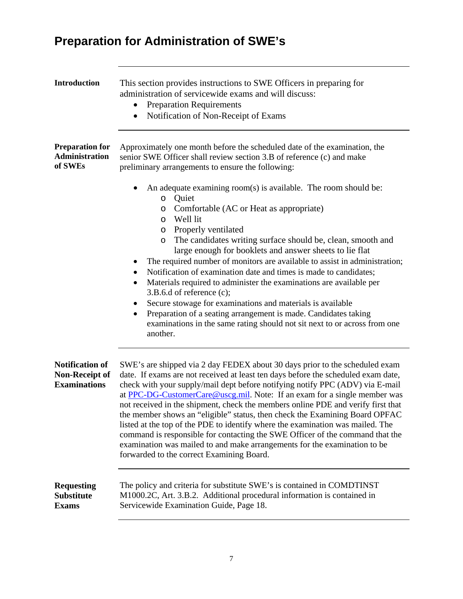## **Preparation for Administration of SWE's**

| <b>Introduction</b>                                                    | This section provides instructions to SWE Officers in preparing for<br>administration of servicewide exams and will discuss:<br><b>Preparation Requirements</b><br>$\bullet$<br>Notification of Non-Receipt of Exams                                                                                                                                                                                                                                                                                                                                                                                                                                                                                                                                                                                                                                  |
|------------------------------------------------------------------------|-------------------------------------------------------------------------------------------------------------------------------------------------------------------------------------------------------------------------------------------------------------------------------------------------------------------------------------------------------------------------------------------------------------------------------------------------------------------------------------------------------------------------------------------------------------------------------------------------------------------------------------------------------------------------------------------------------------------------------------------------------------------------------------------------------------------------------------------------------|
| <b>Preparation for</b><br><b>Administration</b><br>of SWEs             | Approximately one month before the scheduled date of the examination, the<br>senior SWE Officer shall review section 3.B of reference (c) and make<br>preliminary arrangements to ensure the following:                                                                                                                                                                                                                                                                                                                                                                                                                                                                                                                                                                                                                                               |
|                                                                        | An adequate examining room(s) is available. The room should be:<br>Quiet<br>$\circ$<br>Comfortable (AC or Heat as appropriate)<br>O<br>Well lit<br>O<br>Properly ventilated<br>$\circ$<br>The candidates writing surface should be, clean, smooth and<br>$\circ$<br>large enough for booklets and answer sheets to lie flat<br>The required number of monitors are available to assist in administration;<br>Notification of examination date and times is made to candidates;<br>$\bullet$<br>Materials required to administer the examinations are available per<br>$\bullet$<br>$3.B.6.d$ of reference (c);<br>Secure stowage for examinations and materials is available<br>$\bullet$<br>Preparation of a seating arrangement is made. Candidates taking<br>examinations in the same rating should not sit next to or across from one<br>another. |
| <b>Notification of</b><br><b>Non-Receipt of</b><br><b>Examinations</b> | SWE's are shipped via 2 day FEDEX about 30 days prior to the scheduled exam<br>date. If exams are not received at least ten days before the scheduled exam date,<br>check with your supply/mail dept before notifying notify PPC (ADV) via E-mail<br>at PPC-DG-CustomerCare@uscg.mil. Note: If an exam for a single member was<br>not received in the shipment, check the members online PDE and verify first that<br>the member shows an "eligible" status, then check the Examining Board OPFAC<br>listed at the top of the PDE to identify where the examination was mailed. The<br>command is responsible for contacting the SWE Officer of the command that the<br>examination was mailed to and make arrangements for the examination to be<br>forwarded to the correct Examining Board.                                                        |
| <b>Requesting</b><br><b>Substitute</b><br><b>Exams</b>                 | The policy and criteria for substitute SWE's is contained in COMDTINST<br>M1000.2C, Art. 3.B.2. Additional procedural information is contained in<br>Servicewide Examination Guide, Page 18.                                                                                                                                                                                                                                                                                                                                                                                                                                                                                                                                                                                                                                                          |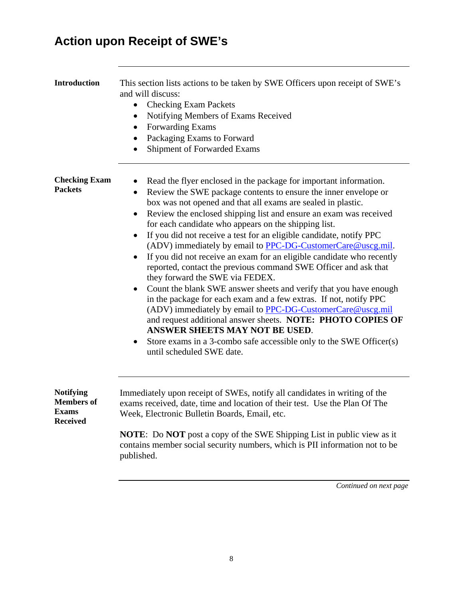## **Action upon Receipt of SWE's**

| <b>Introduction</b>                                                      | This section lists actions to be taken by SWE Officers upon receipt of SWE's<br>and will discuss:<br><b>Checking Exam Packets</b><br>Notifying Members of Exams Received<br>٠<br>Forwarding Exams<br>Packaging Exams to Forward<br>$\bullet$<br>Shipment of Forwarded Exams                                                                                                                                                                                                                                                                                                                                                                                                                                                                                                                                                                                                                                                                                                                                                                                              |
|--------------------------------------------------------------------------|--------------------------------------------------------------------------------------------------------------------------------------------------------------------------------------------------------------------------------------------------------------------------------------------------------------------------------------------------------------------------------------------------------------------------------------------------------------------------------------------------------------------------------------------------------------------------------------------------------------------------------------------------------------------------------------------------------------------------------------------------------------------------------------------------------------------------------------------------------------------------------------------------------------------------------------------------------------------------------------------------------------------------------------------------------------------------|
| <b>Checking Exam</b><br><b>Packets</b>                                   | Read the flyer enclosed in the package for important information.<br>Review the SWE package contents to ensure the inner envelope or<br>٠<br>box was not opened and that all exams are sealed in plastic.<br>Review the enclosed shipping list and ensure an exam was received<br>for each candidate who appears on the shipping list.<br>If you did not receive a test for an eligible candidate, notify PPC<br>(ADV) immediately by email to PPC-DG-CustomerCare@uscg.mil.<br>If you did not receive an exam for an eligible candidate who recently<br>reported, contact the previous command SWE Officer and ask that<br>they forward the SWE via FEDEX.<br>Count the blank SWE answer sheets and verify that you have enough<br>in the package for each exam and a few extras. If not, notify PPC<br>(ADV) immediately by email to PPC-DG-CustomerCare@uscg.mil<br>and request additional answer sheets. NOTE: PHOTO COPIES OF<br>ANSWER SHEETS MAY NOT BE USED.<br>Store exams in a 3-combo safe accessible only to the SWE Officer(s)<br>until scheduled SWE date. |
| <b>Notifying</b><br><b>Members of</b><br><b>Exams</b><br><b>Received</b> | Immediately upon receipt of SWEs, notify all candidates in writing of the<br>exams received, date, time and location of their test. Use the Plan Of The<br>Week, Electronic Bulletin Boards, Email, etc.<br><b>NOTE:</b> Do <b>NOT</b> post a copy of the SWE Shipping List in public view as it<br>contains member social security numbers, which is PII information not to be<br>published.                                                                                                                                                                                                                                                                                                                                                                                                                                                                                                                                                                                                                                                                            |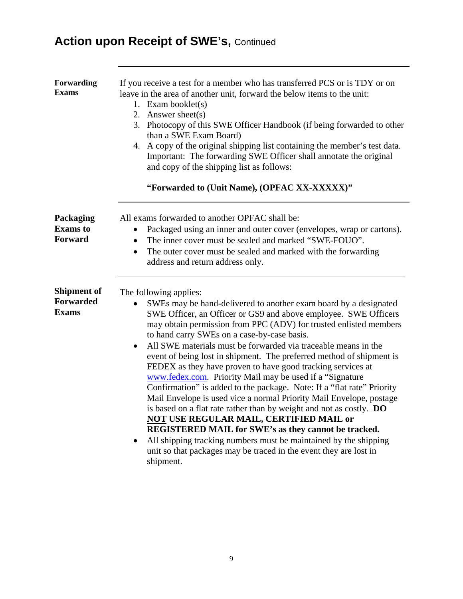## **Action upon Receipt of SWE's, Continued**

| Forwarding<br><b>Exams</b>                             | If you receive a test for a member who has transferred PCS or is TDY or on<br>leave in the area of another unit, forward the below items to the unit:<br>1. Exam booklet $(s)$<br>2. Answer sheet(s)<br>3. Photocopy of this SWE Officer Handbook (if being forwarded to other<br>than a SWE Exam Board)<br>4. A copy of the original shipping list containing the member's test data.<br>Important: The forwarding SWE Officer shall annotate the original<br>and copy of the shipping list as follows:<br>"Forwarded to (Unit Name), (OPFAC XX-XXXXX)"                                                                                                                                                                                                                                                                                                                                                                                                                                                                                                            |
|--------------------------------------------------------|---------------------------------------------------------------------------------------------------------------------------------------------------------------------------------------------------------------------------------------------------------------------------------------------------------------------------------------------------------------------------------------------------------------------------------------------------------------------------------------------------------------------------------------------------------------------------------------------------------------------------------------------------------------------------------------------------------------------------------------------------------------------------------------------------------------------------------------------------------------------------------------------------------------------------------------------------------------------------------------------------------------------------------------------------------------------|
| Packaging<br><b>Exams</b> to<br>Forward                | All exams forwarded to another OPFAC shall be:<br>Packaged using an inner and outer cover (envelopes, wrap or cartons).<br>$\bullet$<br>The inner cover must be sealed and marked "SWE-FOUO".<br>$\bullet$<br>The outer cover must be sealed and marked with the forwarding<br>$\bullet$<br>address and return address only.                                                                                                                                                                                                                                                                                                                                                                                                                                                                                                                                                                                                                                                                                                                                        |
| <b>Shipment of</b><br><b>Forwarded</b><br><b>Exams</b> | The following applies:<br>SWEs may be hand-delivered to another exam board by a designated<br>$\bullet$<br>SWE Officer, an Officer or GS9 and above employee. SWE Officers<br>may obtain permission from PPC (ADV) for trusted enlisted members<br>to hand carry SWEs on a case-by-case basis.<br>All SWE materials must be forwarded via traceable means in the<br>event of being lost in shipment. The preferred method of shipment is<br>FEDEX as they have proven to have good tracking services at<br>www.fedex.com. Priority Mail may be used if a "Signature"<br>Confirmation" is added to the package. Note: If a "flat rate" Priority<br>Mail Envelope is used vice a normal Priority Mail Envelope, postage<br>is based on a flat rate rather than by weight and not as costly. DO<br><b>NOT USE REGULAR MAIL, CERTIFIED MAIL or</b><br><b>REGISTERED MAIL for SWE's as they cannot be tracked.</b><br>All shipping tracking numbers must be maintained by the shipping<br>unit so that packages may be traced in the event they are lost in<br>shipment. |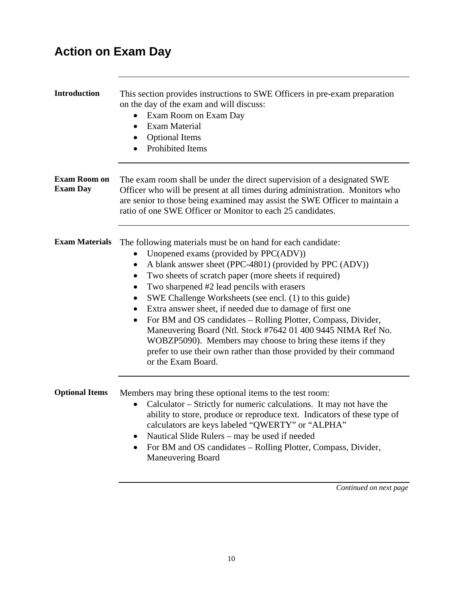### **Action on Exam Day**

| <b>Introduction</b>                    | This section provides instructions to SWE Officers in pre-exam preparation<br>on the day of the exam and will discuss:<br>Exam Room on Exam Day<br><b>Exam Material</b><br>$\bullet$<br><b>Optional Items</b><br>$\bullet$<br><b>Prohibited Items</b>                                                                                                                                                                                                                                                                                                                                                                                                                                                                                              |
|----------------------------------------|----------------------------------------------------------------------------------------------------------------------------------------------------------------------------------------------------------------------------------------------------------------------------------------------------------------------------------------------------------------------------------------------------------------------------------------------------------------------------------------------------------------------------------------------------------------------------------------------------------------------------------------------------------------------------------------------------------------------------------------------------|
| <b>Exam Room on</b><br><b>Exam Day</b> | The exam room shall be under the direct supervision of a designated SWE<br>Officer who will be present at all times during administration. Monitors who<br>are senior to those being examined may assist the SWE Officer to maintain a<br>ratio of one SWE Officer or Monitor to each 25 candidates.                                                                                                                                                                                                                                                                                                                                                                                                                                               |
| <b>Exam Materials</b>                  | The following materials must be on hand for each candidate:<br>Unopened exams (provided by PPC(ADV))<br>A blank answer sheet (PPC-4801) (provided by PPC (ADV))<br>$\bullet$<br>Two sheets of scratch paper (more sheets if required)<br>٠<br>Two sharpened #2 lead pencils with erasers<br>$\bullet$<br>SWE Challenge Worksheets (see encl. (1) to this guide)<br>$\bullet$<br>Extra answer sheet, if needed due to damage of first one<br>$\bullet$<br>For BM and OS candidates - Rolling Plotter, Compass, Divider,<br>Maneuvering Board (Ntl. Stock #7642 01 400 9445 NIMA Ref No.<br>WOBZP5090). Members may choose to bring these items if they<br>prefer to use their own rather than those provided by their command<br>or the Exam Board. |
| <b>Optional Items</b>                  | Members may bring these optional items to the test room:<br>Calculator – Strictly for numeric calculations. It may not have the<br>ability to store, produce or reproduce text. Indicators of these type of<br>calculators are keys labeled "QWERTY" or "ALPHA"<br>Nautical Slide Rulers - may be used if needed<br>For BM and OS candidates - Rolling Plotter, Compass, Divider,<br>$\bullet$<br><b>Maneuvering Board</b>                                                                                                                                                                                                                                                                                                                         |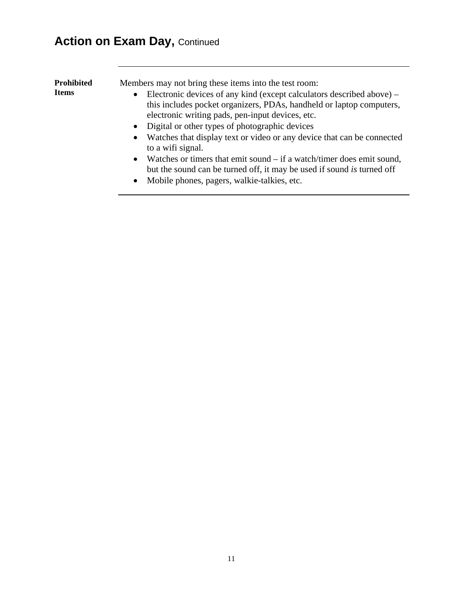## **Action on Exam Day, Continued**

| <b>Prohibited</b> | Members may not bring these items into the test room:                     |
|-------------------|---------------------------------------------------------------------------|
| <b>Items</b>      | • Electronic devices of any kind (except calculators described above) $-$ |
|                   | this includes pocket organizers, PDAs, handheld or laptop computers,      |
|                   | electronic writing pads, pen-input devices, etc.                          |
|                   | • Digital or other types of photographic devices                          |
|                   | • Watches that display text or video or any device that can be connected  |
|                   | to a wifi signal.                                                         |
|                   | • Watches or timers that emit sound $-$ if a watch/timer does emit sound, |
|                   | but the sound can be turned off, it may be used if sound is turned off    |
|                   | • Mobile phones, pagers, walkie-talkies, etc.                             |
|                   |                                                                           |
|                   |                                                                           |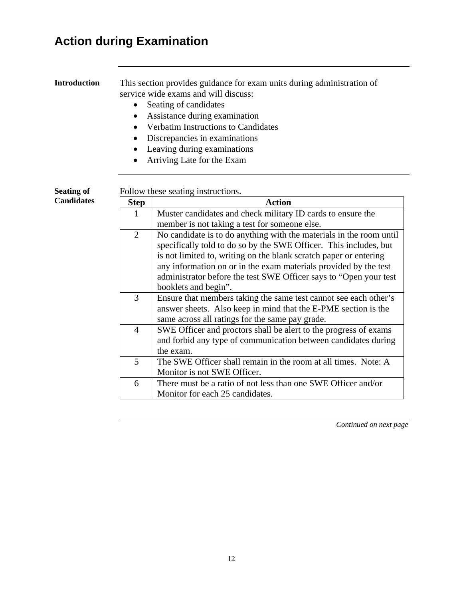## **Action during Examination**

| <b>Introduction</b> | $\bullet$<br>$\bullet$ | This section provides guidance for exam units during administration of<br>service wide exams and will discuss:<br>Seating of candidates<br>Assistance during examination<br><b>Verbatim Instructions to Candidates</b><br>Discrepancies in examinations<br>Leaving during examinations<br>Arriving Late for the Exam                                                           |
|---------------------|------------------------|--------------------------------------------------------------------------------------------------------------------------------------------------------------------------------------------------------------------------------------------------------------------------------------------------------------------------------------------------------------------------------|
| <b>Seating of</b>   |                        | Follow these seating instructions.                                                                                                                                                                                                                                                                                                                                             |
| <b>Candidates</b>   | <b>Step</b>            | <b>Action</b>                                                                                                                                                                                                                                                                                                                                                                  |
|                     | 1                      | Muster candidates and check military ID cards to ensure the<br>member is not taking a test for someone else.                                                                                                                                                                                                                                                                   |
|                     | $\overline{2}$         | No candidate is to do anything with the materials in the room until<br>specifically told to do so by the SWE Officer. This includes, but<br>is not limited to, writing on the blank scratch paper or entering<br>any information on or in the exam materials provided by the test<br>administrator before the test SWE Officer says to "Open your test<br>booklets and begin". |
|                     | 3                      | Ensure that members taking the same test cannot see each other's<br>answer sheets. Also keep in mind that the E-PME section is the<br>same across all ratings for the same pay grade.                                                                                                                                                                                          |
|                     | $\overline{4}$         | SWE Officer and proctors shall be alert to the progress of exams<br>and forbid any type of communication between candidates during<br>the exam.                                                                                                                                                                                                                                |
|                     | 5                      | The SWE Officer shall remain in the room at all times. Note: A<br>Monitor is not SWE Officer.                                                                                                                                                                                                                                                                                  |
|                     | 6                      | There must be a ratio of not less than one SWE Officer and/or<br>Monitor for each 25 candidates.                                                                                                                                                                                                                                                                               |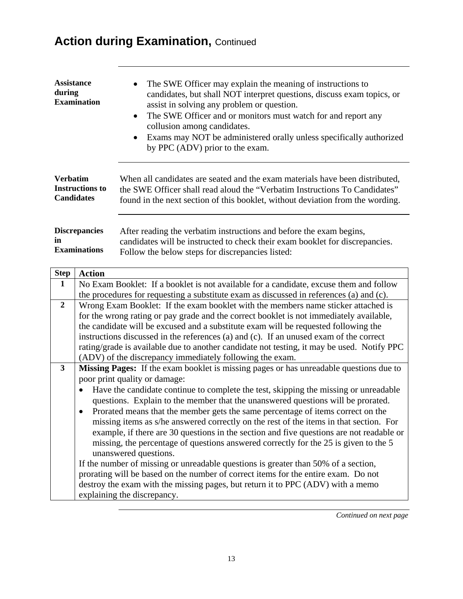## **Action during Examination,** Continued

| <b>Assistance</b><br>during<br><b>Examination</b> | The SWE Officer may explain the meaning of instructions to<br>$\bullet$<br>candidates, but shall NOT interpret questions, discuss exam topics, or<br>assist in solving any problem or question.<br>The SWE Officer and or monitors must watch for and report any<br>$\bullet$<br>collusion among candidates.<br>• Exams may NOT be administered orally unless specifically authorized<br>by PPC (ADV) prior to the exam. |
|---------------------------------------------------|--------------------------------------------------------------------------------------------------------------------------------------------------------------------------------------------------------------------------------------------------------------------------------------------------------------------------------------------------------------------------------------------------------------------------|
| <b>Verbatim</b>                                   | When all candidates are seated and the exam materials have been distributed,                                                                                                                                                                                                                                                                                                                                             |
| <b>Instructions to</b>                            | the SWE Officer shall read aloud the "Verbatim Instructions To Candidates"                                                                                                                                                                                                                                                                                                                                               |
| <b>Candidates</b>                                 | found in the next section of this booklet, without deviation from the wording.                                                                                                                                                                                                                                                                                                                                           |
| <b>Discrepancies</b>                              | After reading the verbatim instructions and before the exam begins,                                                                                                                                                                                                                                                                                                                                                      |
| in                                                | candidates will be instructed to check their exam booklet for discrepancies.                                                                                                                                                                                                                                                                                                                                             |
| <b>Examinations</b>                               | Follow the below steps for discrepancies listed:                                                                                                                                                                                                                                                                                                                                                                         |

| <b>Step</b>    | <b>Action</b>                                                                                     |
|----------------|---------------------------------------------------------------------------------------------------|
| 1              | No Exam Booklet: If a booklet is not available for a candidate, excuse them and follow            |
|                | the procedures for requesting a substitute exam as discussed in references (a) and (c).           |
| $\overline{2}$ | Wrong Exam Booklet: If the exam booklet with the members name sticker attached is                 |
|                | for the wrong rating or pay grade and the correct booklet is not immediately available,           |
|                | the candidate will be excused and a substitute exam will be requested following the               |
|                | instructions discussed in the references (a) and (c). If an unused exam of the correct            |
|                | rating/grade is available due to another candidate not testing, it may be used. Notify PPC        |
|                | (ADV) of the discrepancy immediately following the exam.                                          |
| $\mathbf{3}$   | Missing Pages: If the exam booklet is missing pages or has unreadable questions due to            |
|                | poor print quality or damage:                                                                     |
|                | Have the candidate continue to complete the test, skipping the missing or unreadable<br>$\bullet$ |
|                | questions. Explain to the member that the unanswered questions will be prorated.                  |
|                | Prorated means that the member gets the same percentage of items correct on the<br>$\bullet$      |
|                | missing items as s/he answered correctly on the rest of the items in that section. For            |
|                | example, if there are 30 questions in the section and five questions are not readable or          |
|                | missing, the percentage of questions answered correctly for the 25 is given to the 5              |
|                | unanswered questions.                                                                             |
|                | If the number of missing or unreadable questions is greater than 50% of a section,                |
|                | prorating will be based on the number of correct items for the entire exam. Do not                |
|                | destroy the exam with the missing pages, but return it to PPC (ADV) with a memo                   |
|                | explaining the discrepancy.                                                                       |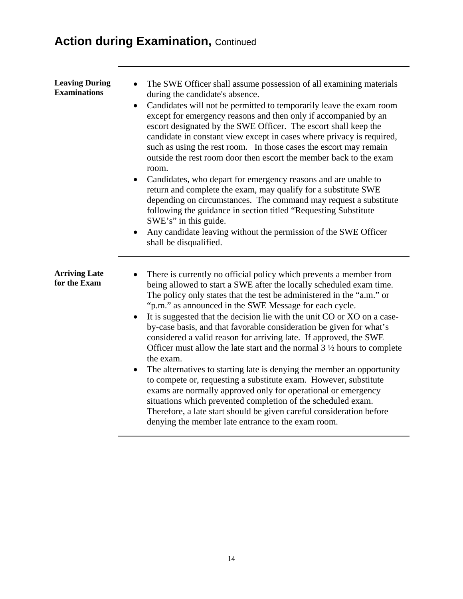## **Action during Examination, Continued**

| <b>Leaving During</b><br><b>Examinations</b> | The SWE Officer shall assume possession of all examining materials<br>during the candidate's absence.<br>Candidates will not be permitted to temporarily leave the exam room<br>$\bullet$<br>except for emergency reasons and then only if accompanied by an<br>escort designated by the SWE Officer. The escort shall keep the<br>candidate in constant view except in cases where privacy is required,<br>such as using the rest room. In those cases the escort may remain<br>outside the rest room door then escort the member back to the exam<br>room.<br>Candidates, who depart for emergency reasons and are unable to<br>return and complete the exam, may qualify for a substitute SWE<br>depending on circumstances. The command may request a substitute<br>following the guidance in section titled "Requesting Substitute"<br>SWE's" in this guide.<br>Any candidate leaving without the permission of the SWE Officer<br>shall be disqualified.                                                                  |
|----------------------------------------------|---------------------------------------------------------------------------------------------------------------------------------------------------------------------------------------------------------------------------------------------------------------------------------------------------------------------------------------------------------------------------------------------------------------------------------------------------------------------------------------------------------------------------------------------------------------------------------------------------------------------------------------------------------------------------------------------------------------------------------------------------------------------------------------------------------------------------------------------------------------------------------------------------------------------------------------------------------------------------------------------------------------------------------|
| <b>Arriving Late</b><br>for the Exam         | There is currently no official policy which prevents a member from<br>being allowed to start a SWE after the locally scheduled exam time.<br>The policy only states that the test be administered in the "a.m." or<br>"p.m." as announced in the SWE Message for each cycle.<br>It is suggested that the decision lie with the unit CO or XO on a case-<br>by-case basis, and that favorable consideration be given for what's<br>considered a valid reason for arriving late. If approved, the SWE<br>Officer must allow the late start and the normal $3\frac{1}{2}$ hours to complete<br>the exam.<br>The alternatives to starting late is denying the member an opportunity<br>$\bullet$<br>to compete or, requesting a substitute exam. However, substitute<br>exams are normally approved only for operational or emergency<br>situations which prevented completion of the scheduled exam.<br>Therefore, a late start should be given careful consideration before<br>denying the member late entrance to the exam room. |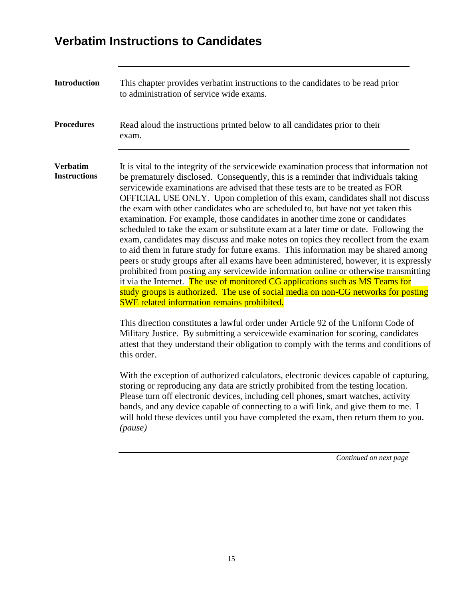### **Verbatim Instructions to Candidates**

| <b>Introduction</b>                    | This chapter provides verbatim instructions to the candidates to be read prior<br>to administration of service wide exams.                                                                                                                                                                                                                                                                                                                                                                                                                                                                                                                                                                                                                                                                                                                                                                                                                                                                                                                                                                                                                                                                                   |  |  |
|----------------------------------------|--------------------------------------------------------------------------------------------------------------------------------------------------------------------------------------------------------------------------------------------------------------------------------------------------------------------------------------------------------------------------------------------------------------------------------------------------------------------------------------------------------------------------------------------------------------------------------------------------------------------------------------------------------------------------------------------------------------------------------------------------------------------------------------------------------------------------------------------------------------------------------------------------------------------------------------------------------------------------------------------------------------------------------------------------------------------------------------------------------------------------------------------------------------------------------------------------------------|--|--|
| <b>Procedures</b>                      | Read aloud the instructions printed below to all candidates prior to their<br>exam.                                                                                                                                                                                                                                                                                                                                                                                                                                                                                                                                                                                                                                                                                                                                                                                                                                                                                                                                                                                                                                                                                                                          |  |  |
| <b>Verbatim</b><br><b>Instructions</b> | It is vital to the integrity of the service wide examination process that information not<br>be prematurely disclosed. Consequently, this is a reminder that individuals taking<br>service wide examinations are advised that these tests are to be treated as FOR<br>OFFICIAL USE ONLY. Upon completion of this exam, candidates shall not discuss<br>the exam with other candidates who are scheduled to, but have not yet taken this<br>examination. For example, those candidates in another time zone or candidates<br>scheduled to take the exam or substitute exam at a later time or date. Following the<br>exam, candidates may discuss and make notes on topics they recollect from the exam<br>to aid them in future study for future exams. This information may be shared among<br>peers or study groups after all exams have been administered, however, it is expressly<br>prohibited from posting any servicewide information online or otherwise transmitting<br>it via the Internet. The use of monitored CG applications such as MS Teams for<br>study groups is authorized. The use of social media on non-CG networks for posting<br><b>SWE</b> related information remains prohibited. |  |  |
|                                        | This direction constitutes a lawful order under Article 92 of the Uniform Code of<br>Military Justice. By submitting a servicewide examination for scoring, candidates<br>attest that they understand their obligation to comply with the terms and conditions of<br>this order.                                                                                                                                                                                                                                                                                                                                                                                                                                                                                                                                                                                                                                                                                                                                                                                                                                                                                                                             |  |  |
|                                        | With the exception of authorized calculators, electronic devices capable of capturing,<br>storing or reproducing any data are strictly prohibited from the testing location.<br>Please turn off electronic devices, including cell phones, smart watches, activity<br>bands, and any device capable of connecting to a wifi link, and give them to me. I<br>will hold these devices until you have completed the exam, then return them to you.<br>$(\text{pause})$                                                                                                                                                                                                                                                                                                                                                                                                                                                                                                                                                                                                                                                                                                                                          |  |  |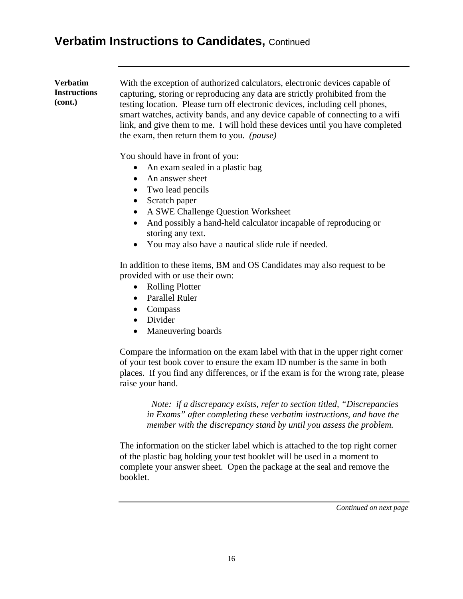### **Verbatim Instructions to Candidates,** Continued

#### **Verbatim Instructions (cont.)** With the exception of authorized calculators, electronic devices capable of capturing, storing or reproducing any data are strictly prohibited from the testing location. Please turn off electronic devices, including cell phones, smart watches, activity bands, and any device capable of connecting to a wifi link, and give them to me. I will hold these devices until you have completed the exam, then return them to you. *(pause)*

You should have in front of you:

- An exam sealed in a plastic bag
- An answer sheet
- Two lead pencils
- Scratch paper
- A SWE Challenge Question Worksheet
- And possibly a hand-held calculator incapable of reproducing or storing any text.
- You may also have a nautical slide rule if needed.

In addition to these items, BM and OS Candidates may also request to be provided with or use their own:

- Rolling Plotter
- Parallel Ruler
- Compass
- Divider
- Maneuvering boards

Compare the information on the exam label with that in the upper right corner of your test book cover to ensure the exam ID number is the same in both places. If you find any differences, or if the exam is for the wrong rate, please raise your hand.

 *Note: if a discrepancy exists, refer to section titled, "Discrepancies in Exams" after completing these verbatim instructions, and have the member with the discrepancy stand by until you assess the problem.*

The information on the sticker label which is attached to the top right corner of the plastic bag holding your test booklet will be used in a moment to complete your answer sheet. Open the package at the seal and remove the booklet.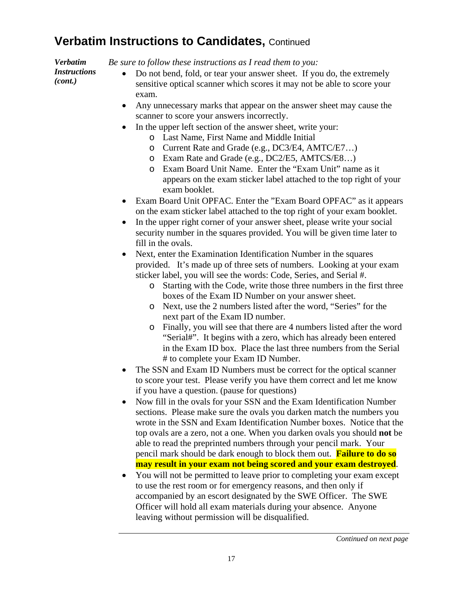### **Verbatim Instructions to Candidates, Continued**

*Verbatim Instructions* 

*(cont.)*

*Be sure to follow these instructions as I read them to you:*

- Do not bend, fold, or tear your answer sheet. If you do, the extremely sensitive optical scanner which scores it may not be able to score your exam.
- Any unnecessary marks that appear on the answer sheet may cause the scanner to score your answers incorrectly.
- In the upper left section of the answer sheet, write your:
	- o Last Name, First Name and Middle Initial
	- o Current Rate and Grade (e.g., DC3/E4, AMTC/E7…)
	- o Exam Rate and Grade (e.g., DC2/E5, AMTCS/E8…)
	- o Exam Board Unit Name. Enter the "Exam Unit" name as it appears on the exam sticker label attached to the top right of your exam booklet.
- Exam Board Unit OPFAC. Enter the "Exam Board OPFAC" as it appears on the exam sticker label attached to the top right of your exam booklet.
- In the upper right corner of your answer sheet, please write your social security number in the squares provided. You will be given time later to fill in the ovals.
- Next, enter the Examination Identification Number in the squares provided. It's made up of three sets of numbers. Looking at your exam sticker label, you will see the words: Code, Series, and Serial #.
	- o Starting with the Code, write those three numbers in the first three boxes of the Exam ID Number on your answer sheet.
	- o Next, use the 2 numbers listed after the word, "Series" for the next part of the Exam ID number.
	- o Finally, you will see that there are 4 numbers listed after the word "Serial#". It begins with a zero, which has already been entered in the Exam ID box. Place the last three numbers from the Serial # to complete your Exam ID Number.
- The SSN and Exam ID Numbers must be correct for the optical scanner to score your test. Please verify you have them correct and let me know if you have a question. (pause for questions)
- Now fill in the ovals for your SSN and the Exam Identification Number sections. Please make sure the ovals you darken match the numbers you wrote in the SSN and Exam Identification Number boxes. Notice that the top ovals are a zero, not a one. When you darken ovals you should **not** be able to read the preprinted numbers through your pencil mark. Your pencil mark should be dark enough to block them out. **Failure to do so may result in your exam not being scored and your exam destroyed**.
- You will not be permitted to leave prior to completing your exam except to use the rest room or for emergency reasons, and then only if accompanied by an escort designated by the SWE Officer. The SWE Officer will hold all exam materials during your absence. Anyone leaving without permission will be disqualified.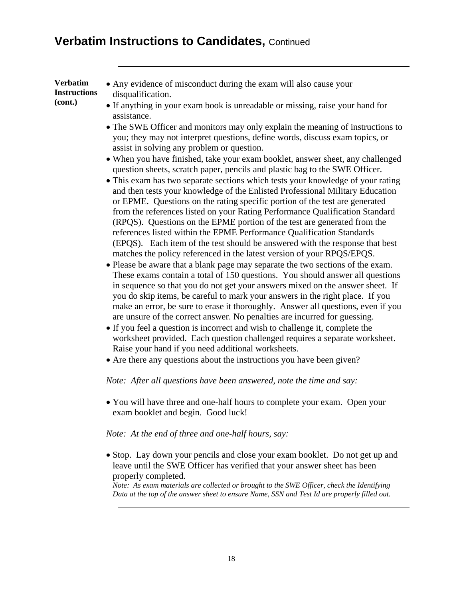#### **Verbatim Instructions to Candidates, Continued**

**Verbatim Instructions (cont.)**

- Any evidence of misconduct during the exam will also cause your disqualification.
	- If anything in your exam book is unreadable or missing, raise your hand for assistance.
	- The SWE Officer and monitors may only explain the meaning of instructions to you; they may not interpret questions, define words, discuss exam topics, or assist in solving any problem or question.
	- When you have finished, take your exam booklet, answer sheet, any challenged question sheets, scratch paper, pencils and plastic bag to the SWE Officer.
	- This exam has two separate sections which tests your knowledge of your rating and then tests your knowledge of the Enlisted Professional Military Education or EPME. Questions on the rating specific portion of the test are generated from the references listed on your Rating Performance Qualification Standard (RPQS). Questions on the EPME portion of the test are generated from the references listed within the EPME Performance Qualification Standards (EPQS). Each item of the test should be answered with the response that best matches the policy referenced in the latest version of your RPQS/EPQS.
	- Please be aware that a blank page may separate the two sections of the exam. These exams contain a total of 150 questions. You should answer all questions in sequence so that you do not get your answers mixed on the answer sheet. If you do skip items, be careful to mark your answers in the right place. If you make an error, be sure to erase it thoroughly. Answer all questions, even if you are unsure of the correct answer. No penalties are incurred for guessing.
	- If you feel a question is incorrect and wish to challenge it, complete the worksheet provided. Each question challenged requires a separate worksheet. Raise your hand if you need additional worksheets.
	- Are there any questions about the instructions you have been given?

#### *Note: After all questions have been answered, note the time and say:*

• You will have three and one-half hours to complete your exam. Open your exam booklet and begin. Good luck!

#### *Note: At the end of three and one-half hours, say:*

• Stop. Lay down your pencils and close your exam booklet. Do not get up and leave until the SWE Officer has verified that your answer sheet has been properly completed.

*Note: As exam materials are collected or brought to the SWE Officer, check the Identifying Data at the top of the answer sheet to ensure Name, SSN and Test Id are properly filled out.*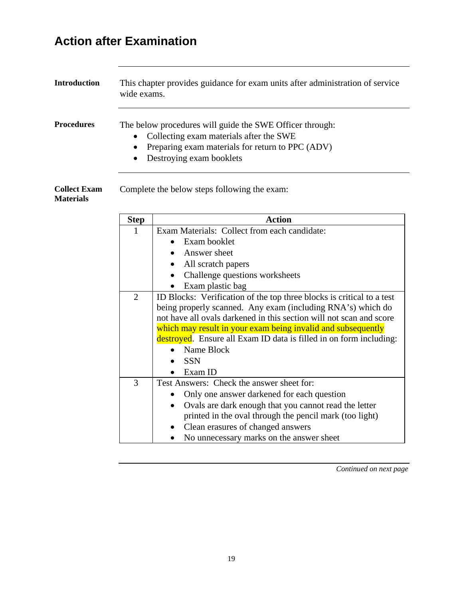# **Action after Examination**

| <b>Introduction</b> | This chapter provides guidance for exam units after administration of service<br>wide exams.                                                                                              |  |
|---------------------|-------------------------------------------------------------------------------------------------------------------------------------------------------------------------------------------|--|
| <b>Procedures</b>   | The below procedures will guide the SWE Officer through:<br>• Collecting exam materials after the SWE<br>• Preparing exam materials for return to PPC (ADV)<br>• Destroying exam booklets |  |

**Collect Exam**  Complete the below steps following the exam:

#### **Materials**

| <b>Step</b>    | <b>Action</b>                                                         |  |
|----------------|-----------------------------------------------------------------------|--|
| 1              | Exam Materials: Collect from each candidate:                          |  |
|                | Exam booklet                                                          |  |
|                | Answer sheet                                                          |  |
|                | All scratch papers                                                    |  |
|                | Challenge questions worksheets                                        |  |
|                | Exam plastic bag                                                      |  |
| $\overline{2}$ | ID Blocks: Verification of the top three blocks is critical to a test |  |
|                | being properly scanned. Any exam (including RNA's) which do           |  |
|                | not have all ovals darkened in this section will not scan and score   |  |
|                | which may result in your exam being invalid and subsequently          |  |
|                | destroyed. Ensure all Exam ID data is filled in on form including:    |  |
|                | Name Block                                                            |  |
|                | <b>SSN</b>                                                            |  |
|                | Exam ID                                                               |  |
| 3              | Test Answers: Check the answer sheet for:                             |  |
|                | Only one answer darkened for each question                            |  |
|                | Ovals are dark enough that you cannot read the letter                 |  |
|                | printed in the oval through the pencil mark (too light)               |  |
|                | Clean erasures of changed answers                                     |  |
|                | No unnecessary marks on the answer sheet                              |  |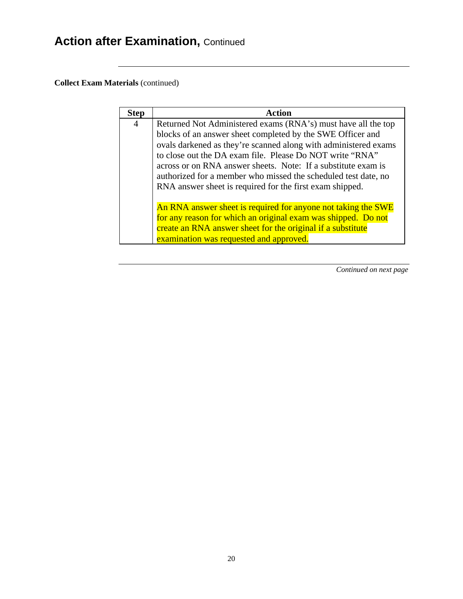**Collect Exam Materials** (continued)

| <b>Step</b>                                                                                                                                                                                                                                                  | <b>Action</b>                                                                                                                                                                                                                                                                                                               |  |
|--------------------------------------------------------------------------------------------------------------------------------------------------------------------------------------------------------------------------------------------------------------|-----------------------------------------------------------------------------------------------------------------------------------------------------------------------------------------------------------------------------------------------------------------------------------------------------------------------------|--|
| $\overline{4}$                                                                                                                                                                                                                                               | Returned Not Administered exams (RNA's) must have all the top<br>blocks of an answer sheet completed by the SWE Officer and<br>ovals darkened as they're scanned along with administered exams<br>to close out the DA exam file. Please Do NOT write "RNA"<br>across or on RNA answer sheets. Note: If a substitute exam is |  |
| authorized for a member who missed the scheduled test date, no<br>RNA answer sheet is required for the first exam shipped.<br>An RNA answer sheet is required for anyone not taking the SWE<br>for any reason for which an original exam was shipped. Do not |                                                                                                                                                                                                                                                                                                                             |  |
|                                                                                                                                                                                                                                                              | create an RNA answer sheet for the original if a substitute<br>examination was requested and approved.                                                                                                                                                                                                                      |  |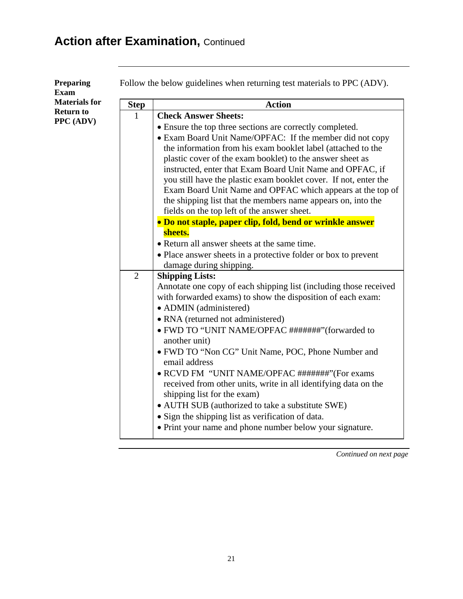| <b>Preparing</b><br><b>Exam</b> | Follow the below guidelines when returning test materials to PPC (ADV). |                                                                                                                                                                                                                                                                                                                                                                                                                                                                                                     |  |
|---------------------------------|-------------------------------------------------------------------------|-----------------------------------------------------------------------------------------------------------------------------------------------------------------------------------------------------------------------------------------------------------------------------------------------------------------------------------------------------------------------------------------------------------------------------------------------------------------------------------------------------|--|
| <b>Materials for</b>            | <b>Step</b>                                                             | <b>Action</b>                                                                                                                                                                                                                                                                                                                                                                                                                                                                                       |  |
| <b>Return to</b>                | 1                                                                       | <b>Check Answer Sheets:</b>                                                                                                                                                                                                                                                                                                                                                                                                                                                                         |  |
| PPC (ADV)                       |                                                                         | • Ensure the top three sections are correctly completed.                                                                                                                                                                                                                                                                                                                                                                                                                                            |  |
|                                 |                                                                         | • Exam Board Unit Name/OPFAC: If the member did not copy<br>the information from his exam booklet label (attached to the<br>plastic cover of the exam booklet) to the answer sheet as<br>instructed, enter that Exam Board Unit Name and OPFAC, if<br>you still have the plastic exam booklet cover. If not, enter the<br>Exam Board Unit Name and OPFAC which appears at the top of<br>the shipping list that the members name appears on, into the<br>fields on the top left of the answer sheet. |  |
|                                 |                                                                         | • Do not staple, paper clip, fold, bend or wrinkle answer                                                                                                                                                                                                                                                                                                                                                                                                                                           |  |
|                                 |                                                                         | sheets.                                                                                                                                                                                                                                                                                                                                                                                                                                                                                             |  |
|                                 |                                                                         | • Return all answer sheets at the same time.                                                                                                                                                                                                                                                                                                                                                                                                                                                        |  |
|                                 |                                                                         | • Place answer sheets in a protective folder or box to prevent                                                                                                                                                                                                                                                                                                                                                                                                                                      |  |
|                                 |                                                                         | damage during shipping.                                                                                                                                                                                                                                                                                                                                                                                                                                                                             |  |
|                                 | $\overline{2}$                                                          | <b>Shipping Lists:</b>                                                                                                                                                                                                                                                                                                                                                                                                                                                                              |  |
|                                 |                                                                         | Annotate one copy of each shipping list (including those received<br>with forwarded exams) to show the disposition of each exam:<br>• ADMIN (administered)                                                                                                                                                                                                                                                                                                                                          |  |
|                                 |                                                                         | • RNA (returned not administered)                                                                                                                                                                                                                                                                                                                                                                                                                                                                   |  |
|                                 |                                                                         | • FWD TO "UNIT NAME/OPFAC #######" (forwarded to<br>another unit)                                                                                                                                                                                                                                                                                                                                                                                                                                   |  |
|                                 |                                                                         | • FWD TO "Non CG" Unit Name, POC, Phone Number and<br>email address                                                                                                                                                                                                                                                                                                                                                                                                                                 |  |
|                                 |                                                                         | • RCVD FM "UNIT NAME/OPFAC #######" (For exams<br>received from other units, write in all identifying data on the                                                                                                                                                                                                                                                                                                                                                                                   |  |
|                                 |                                                                         | shipping list for the exam)                                                                                                                                                                                                                                                                                                                                                                                                                                                                         |  |
|                                 |                                                                         | • AUTH SUB (authorized to take a substitute SWE)                                                                                                                                                                                                                                                                                                                                                                                                                                                    |  |
|                                 |                                                                         | • Sign the shipping list as verification of data.                                                                                                                                                                                                                                                                                                                                                                                                                                                   |  |
|                                 |                                                                         | • Print your name and phone number below your signature.                                                                                                                                                                                                                                                                                                                                                                                                                                            |  |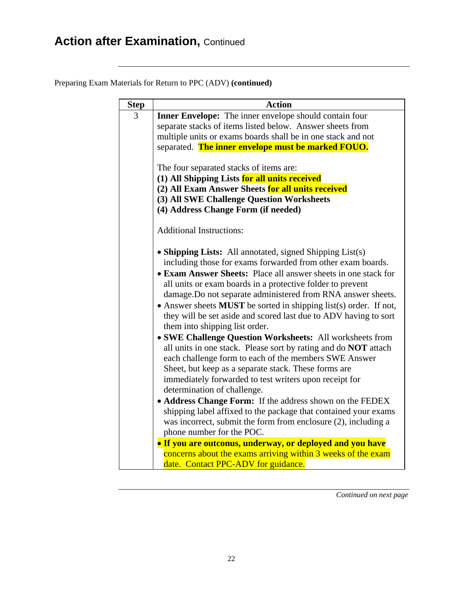Preparing Exam Materials for Return to PPC (ADV) **(continued)**

| <b>Step</b>                                                            | <b>Action</b>                                                                                                                                |  |
|------------------------------------------------------------------------|----------------------------------------------------------------------------------------------------------------------------------------------|--|
| 3                                                                      | <b>Inner Envelope:</b> The inner envelope should contain four                                                                                |  |
|                                                                        | separate stacks of items listed below. Answer sheets from                                                                                    |  |
|                                                                        | multiple units or exams boards shall be in one stack and not                                                                                 |  |
|                                                                        | separated. The inner envelope must be marked FOUO.                                                                                           |  |
|                                                                        |                                                                                                                                              |  |
|                                                                        | The four separated stacks of items are:                                                                                                      |  |
|                                                                        | (1) All Shipping Lists for all units received                                                                                                |  |
|                                                                        | (2) All Exam Answer Sheets for all units received                                                                                            |  |
|                                                                        | (3) All SWE Challenge Question Worksheets                                                                                                    |  |
|                                                                        | (4) Address Change Form (if needed)                                                                                                          |  |
|                                                                        | <b>Additional Instructions:</b>                                                                                                              |  |
|                                                                        |                                                                                                                                              |  |
|                                                                        | • Shipping Lists: All annotated, signed Shipping List(s)                                                                                     |  |
|                                                                        | including those for exams forwarded from other exam boards.                                                                                  |  |
|                                                                        | • Exam Answer Sheets: Place all answer sheets in one stack for                                                                               |  |
|                                                                        | all units or exam boards in a protective folder to prevent                                                                                   |  |
| damage. Do not separate administered from RNA answer sheets.           |                                                                                                                                              |  |
|                                                                        | • Answer sheets <b>MUST</b> be sorted in shipping list(s) order. If not,<br>they will be set aside and scored last due to ADV having to sort |  |
| them into shipping list order.                                         |                                                                                                                                              |  |
| • SWE Challenge Question Worksheets: All worksheets from               |                                                                                                                                              |  |
| all units in one stack. Please sort by rating and do <b>NOT</b> attach |                                                                                                                                              |  |
|                                                                        | each challenge form to each of the members SWE Answer                                                                                        |  |
| Sheet, but keep as a separate stack. These forms are                   |                                                                                                                                              |  |
|                                                                        | immediately forwarded to test writers upon receipt for                                                                                       |  |
|                                                                        | determination of challenge.                                                                                                                  |  |
|                                                                        | • Address Change Form: If the address shown on the FEDEX                                                                                     |  |
|                                                                        | shipping label affixed to the package that contained your exams                                                                              |  |
|                                                                        | was incorrect, submit the form from enclosure (2), including a                                                                               |  |
|                                                                        | phone number for the POC.                                                                                                                    |  |
|                                                                        | • If you are outconus, underway, or deployed and you have                                                                                    |  |
|                                                                        | concerns about the exams arriving within 3 weeks of the exam                                                                                 |  |
|                                                                        | date. Contact PPC-ADV for guidance.                                                                                                          |  |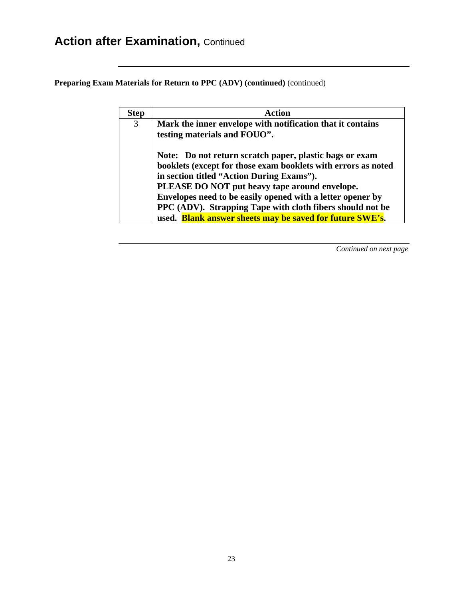**Preparing Exam Materials for Return to PPC (ADV) (continued)** (continued)

| <b>Step</b> | <b>Action</b>                                                 |  |  |
|-------------|---------------------------------------------------------------|--|--|
| 3           | Mark the inner envelope with notification that it contains    |  |  |
|             | testing materials and FOUO".                                  |  |  |
|             | Note: Do not return scratch paper, plastic bags or exam       |  |  |
|             | booklets (except for those exam booklets with errors as noted |  |  |
|             | in section titled "Action During Exams").                     |  |  |
|             | PLEASE DO NOT put heavy tape around envelope.                 |  |  |
|             | Envelopes need to be easily opened with a letter opener by    |  |  |
|             | PPC (ADV). Strapping Tape with cloth fibers should not be     |  |  |
|             | used. Blank answer sheets may be saved for future SWE's.      |  |  |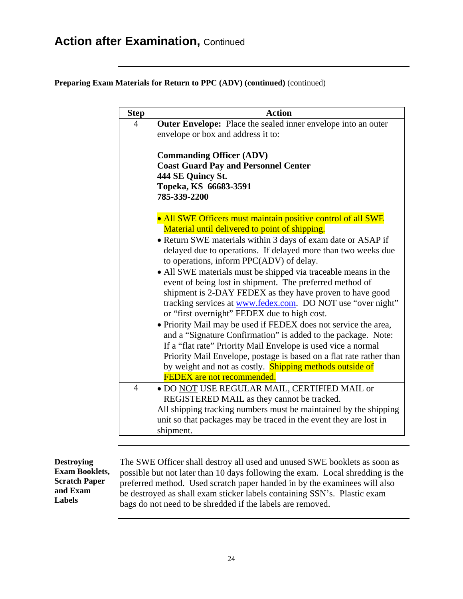**Preparing Exam Materials for Return to PPC (ADV) (continued)** (continued)

| <b>Step</b>                                                     | <b>Action</b>                                                                                                                  |
|-----------------------------------------------------------------|--------------------------------------------------------------------------------------------------------------------------------|
| $\overline{4}$                                                  | Outer Envelope: Place the sealed inner envelope into an outer<br>envelope or box and address it to:                            |
|                                                                 | <b>Commanding Officer (ADV)</b><br><b>Coast Guard Pay and Personnel Center</b>                                                 |
|                                                                 | 444 SE Quincy St.                                                                                                              |
|                                                                 | Topeka, KS 66683-3591                                                                                                          |
|                                                                 | 785-339-2200                                                                                                                   |
|                                                                 | • All SWE Officers must maintain positive control of all SWE                                                                   |
|                                                                 | Material until delivered to point of shipping.                                                                                 |
|                                                                 | • Return SWE materials within 3 days of exam date or ASAP if<br>delayed due to operations. If delayed more than two weeks due  |
|                                                                 | to operations, inform PPC(ADV) of delay.                                                                                       |
|                                                                 | • All SWE materials must be shipped via traceable means in the                                                                 |
|                                                                 | event of being lost in shipment. The preferred method of                                                                       |
| shipment is 2-DAY FEDEX as they have proven to have good        |                                                                                                                                |
| tracking services at www.fedex.com. DO NOT use "over night"     |                                                                                                                                |
| or "first overnight" FEDEX due to high cost.                    |                                                                                                                                |
| • Priority Mail may be used if FEDEX does not service the area, |                                                                                                                                |
|                                                                 | and a "Signature Confirmation" is added to the package. Note:<br>If a "flat rate" Priority Mail Envelope is used vice a normal |
|                                                                 | Priority Mail Envelope, postage is based on a flat rate rather than                                                            |
|                                                                 | by weight and not as costly. Shipping methods outside of                                                                       |
|                                                                 | <b>FEDEX</b> are not recommended.                                                                                              |
| $\overline{4}$                                                  | . DO NOT USE REGULAR MAIL, CERTIFIED MAIL or                                                                                   |
|                                                                 | REGISTERED MAIL as they cannot be tracked.                                                                                     |
|                                                                 | All shipping tracking numbers must be maintained by the shipping                                                               |
|                                                                 | unit so that packages may be traced in the event they are lost in                                                              |
|                                                                 | shipment.                                                                                                                      |

**Destroying Exam Booklets, Scratch Paper and Exam Labels**

The SWE Officer shall destroy all used and unused SWE booklets as soon as possible but not later than 10 days following the exam. Local shredding is the preferred method. Used scratch paper handed in by the examinees will also be destroyed as shall exam sticker labels containing SSN's. Plastic exam bags do not need to be shredded if the labels are removed.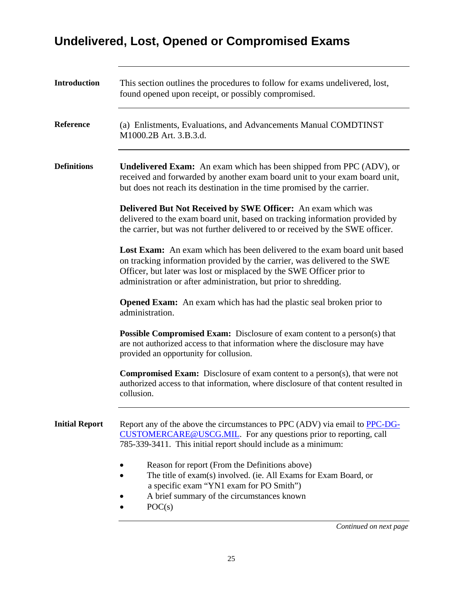## **Undelivered, Lost, Opened or Compromised Exams**

| <b>Introduction</b>   | This section outlines the procedures to follow for exams undelivered, lost,<br>found opened upon receipt, or possibly compromised.                                                                                                                                                                      |  |
|-----------------------|---------------------------------------------------------------------------------------------------------------------------------------------------------------------------------------------------------------------------------------------------------------------------------------------------------|--|
| <b>Reference</b>      | (a) Enlistments, Evaluations, and Advancements Manual COMDTINST<br>M1000.2B Art. 3.B.3.d.                                                                                                                                                                                                               |  |
| <b>Definitions</b>    | <b>Undelivered Exam:</b> An exam which has been shipped from PPC (ADV), or<br>received and forwarded by another exam board unit to your exam board unit,<br>but does not reach its destination in the time promised by the carrier.                                                                     |  |
|                       | Delivered But Not Received by SWE Officer: An exam which was<br>delivered to the exam board unit, based on tracking information provided by<br>the carrier, but was not further delivered to or received by the SWE officer.                                                                            |  |
|                       | <b>Lost Exam:</b> An exam which has been delivered to the exam board unit based<br>on tracking information provided by the carrier, was delivered to the SWE<br>Officer, but later was lost or misplaced by the SWE Officer prior to<br>administration or after administration, but prior to shredding. |  |
|                       | <b>Opened Exam:</b> An exam which has had the plastic seal broken prior to<br>administration.                                                                                                                                                                                                           |  |
|                       | <b>Possible Compromised Exam:</b> Disclosure of exam content to a person(s) that<br>are not authorized access to that information where the disclosure may have<br>provided an opportunity for collusion.                                                                                               |  |
|                       | <b>Compromised Exam:</b> Disclosure of exam content to a person(s), that were not<br>authorized access to that information, where disclosure of that content resulted in<br>collusion.                                                                                                                  |  |
| <b>Initial Report</b> | Report any of the above the circumstances to PPC (ADV) via email to PPC-DG-<br>CUSTOMERCARE@USCG.MIL. For any questions prior to reporting, call<br>785-339-3411. This initial report should include as a minimum:                                                                                      |  |
|                       | Reason for report (From the Definitions above)<br>The title of exam(s) involved. (ie. All Exams for Exam Board, or<br>a specific exam "YN1 exam for PO Smith")<br>A brief summary of the circumstances known<br>POC(s)                                                                                  |  |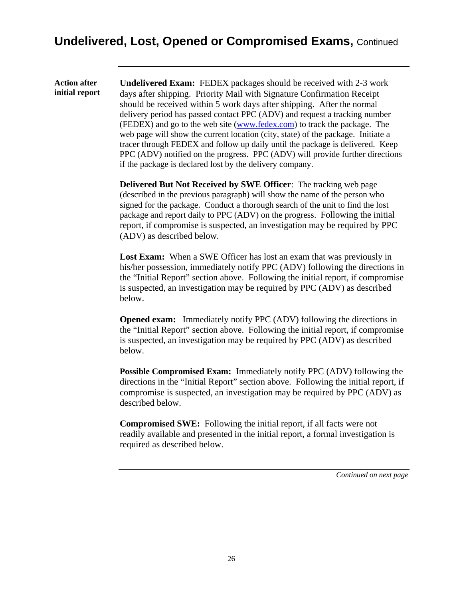#### **Undelivered, Lost, Opened or Compromised Exams,** Continued

**Action after** 

**initial report Undelivered Exam:** FEDEX packages should be received with 2-3 work days after shipping. Priority Mail with Signature Confirmation Receipt should be received within 5 work days after shipping. After the normal delivery period has passed contact PPC (ADV) and request a tracking number (FEDEX) and go to the web site [\(www.fedex.com\)](http://www.fedex.com/) to track the package. The web page will show the current location (city, state) of the package. Initiate a tracer through FEDEX and follow up daily until the package is delivered. Keep PPC (ADV) notified on the progress. PPC (ADV) will provide further directions if the package is declared lost by the delivery company.

> **Delivered But Not Received by SWE Officer**: The tracking web page (described in the previous paragraph) will show the name of the person who signed for the package. Conduct a thorough search of the unit to find the lost package and report daily to PPC (ADV) on the progress. Following the initial report, if compromise is suspected, an investigation may be required by PPC (ADV) as described below.

Lost Exam: When a SWE Officer has lost an exam that was previously in his/her possession, immediately notify PPC (ADV) following the directions in the "Initial Report" section above. Following the initial report, if compromise is suspected, an investigation may be required by PPC (ADV) as described below.

**Opened exam:** Immediately notify PPC (ADV) following the directions in the "Initial Report" section above. Following the initial report, if compromise is suspected, an investigation may be required by PPC (ADV) as described below.

**Possible Compromised Exam:** Immediately notify PPC (ADV) following the directions in the "Initial Report" section above. Following the initial report, if compromise is suspected, an investigation may be required by PPC (ADV) as described below.

**Compromised SWE:** Following the initial report, if all facts were not readily available and presented in the initial report, a formal investigation is required as described below.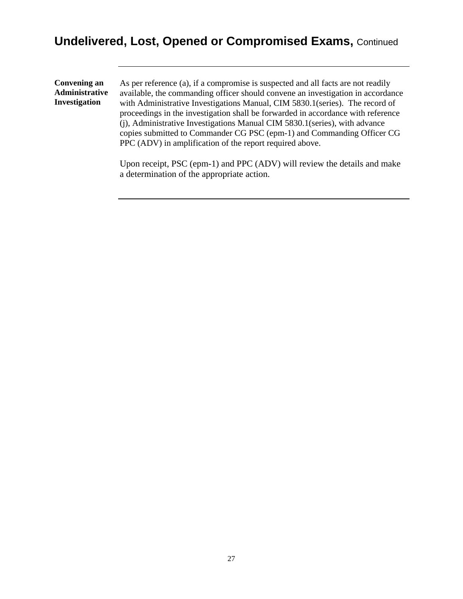### **Undelivered, Lost, Opened or Compromised Exams,** Continued

| <b>Convening an</b><br>Administrative<br>Investigation | As per reference (a), if a compromise is suspected and all facts are not readily<br>available, the commanding officer should convene an investigation in accordance<br>with Administrative Investigations Manual, CIM 5830.1 (series). The record of<br>proceedings in the investigation shall be forwarded in accordance with reference<br>(i), Administrative Investigations Manual CIM 5830.1 (series), with advance<br>copies submitted to Commander CG PSC (epm-1) and Commanding Officer CG<br>PPC (ADV) in amplification of the report required above. |
|--------------------------------------------------------|---------------------------------------------------------------------------------------------------------------------------------------------------------------------------------------------------------------------------------------------------------------------------------------------------------------------------------------------------------------------------------------------------------------------------------------------------------------------------------------------------------------------------------------------------------------|
|                                                        | Upon receipt, PSC (epm-1) and PPC (ADV) will review the details and make                                                                                                                                                                                                                                                                                                                                                                                                                                                                                      |

a determination of the appropriate action.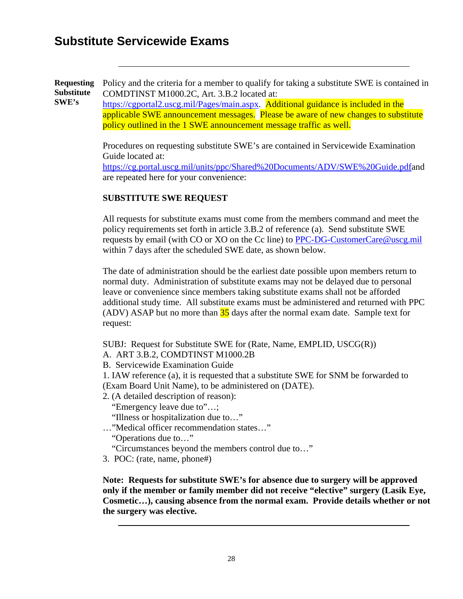#### **Substitute Servicewide Exams**

**Requesting Substitute SWE's** Policy and the criteria for a member to qualify for taking a substitute SWE is contained in COMDTINST M1000.2C, Art. 3.B.2 located at:

[https://cgportal2.uscg.mil/Pages/main.aspx.](https://cgportal2.uscg.mil/Pages/main.aspx) Additional guidance is included in the applicable SWE announcement messages. Please be aware of new changes to substitute policy outlined in the 1 SWE announcement message traffic as well.

Procedures on requesting substitute SWE's are contained in Servicewide Examination Guide located at:

[https://cg.portal.uscg.mil/units/ppc/Shared%20Documents/ADV/SWE%20Guide.pdfa](https://cg.portal.uscg.mil/units/ppc/Shared%20Documents/ADV/SWE%20Guide.pdf)nd are repeated here for your convenience:

#### **SUBSTITUTE SWE REQUEST**

All requests for substitute exams must come from the members command and meet the policy requirements set forth in article 3.B.2 of reference (a). Send substitute SWE requests by email (with CO or XO on the Cc line) to [PPC-DG-CustomerCare@uscg.mil](mailto:PPC-DG-CustomerCare@uscg.mil) within 7 days after the scheduled SWE date, as shown below.

The date of administration should be the earliest date possible upon members return to normal duty. Administration of substitute exams may not be delayed due to personal leave or convenience since members taking substitute exams shall not be afforded additional study time. All substitute exams must be administered and returned with PPC (ADV) ASAP but no more than  $35$  days after the normal exam date. Sample text for request:

SUBJ: Request for Substitute SWE for (Rate, Name, EMPLID, USCG(R))

A. ART 3.B.2, COMDTINST M1000.2B

B. Servicewide Examination Guide

1. IAW reference (a), it is requested that a substitute SWE for SNM be forwarded to (Exam Board Unit Name), to be administered on (DATE).

2. (A detailed description of reason):

"Emergency leave due to"…;

"Illness or hospitalization due to…"

…"Medical officer recommendation states…"

"Operations due to…"

"Circumstances beyond the members control due to…"

3. POC: (rate, name, phone#)

**Note: Requests for substitute SWE's for absence due to surgery will be approved only if the member or family member did not receive "elective" surgery (Lasik Eye, Cosmetic…), causing absence from the normal exam. Provide details whether or not the surgery was elective.**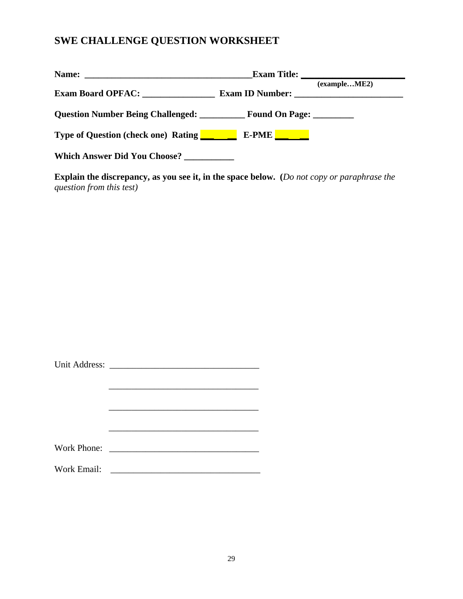#### **SWE CHALLENGE QUESTION WORKSHEET**

|                                                                                       | Exam Title:                     |
|---------------------------------------------------------------------------------------|---------------------------------|
|                                                                                       | (exampleME2)<br>Exam ID Number: |
| <b>Question Number Being Challenged:</b> Found On Page:                               |                                 |
| <b>Type of Question (check one) Rating Type of Question (check one) Rating Type 1</b> | $E-PME$ $\qquad \qquad$         |
| Which Answer Did You Choose?                                                          |                                 |

**Explain the discrepancy, as you see it, in the space below. (***Do not copy or paraphrase the question from this test)*

|             | Work Phone:                                       |
|-------------|---------------------------------------------------|
| Work Email: | <u> 1989 - Jan Barbara Barbara, manazarta da </u> |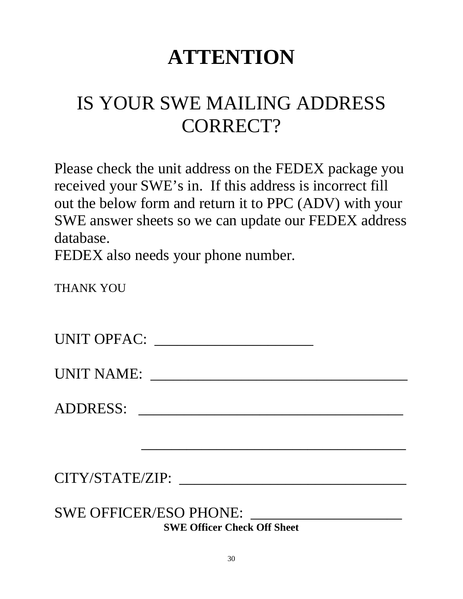# **ATTENTION**

# IS YOUR SWE MAILING ADDRESS CORRECT?

Please check the unit address on the FEDEX package you received your SWE's in. If this address is incorrect fill out the below form and return it to PPC (ADV) with your SWE answer sheets so we can update our FEDEX address database.

FEDEX also needs your phone number.

THANK YOU

UNIT OPFAC: \_\_\_\_\_\_\_\_\_\_\_\_\_\_\_\_\_\_\_\_\_

UNIT NAME: \_\_\_\_\_\_\_\_\_\_\_\_\_\_\_\_\_\_\_\_\_\_\_\_\_\_\_\_\_\_\_\_\_\_

 $\mathcal{L}_\text{max}$  , and the contract of the contract of the contract of the contract of the contract of the contract of the contract of the contract of the contract of the contract of the contract of the contract of the contr

ADDRESS: \_\_\_\_\_\_\_\_\_\_\_\_\_\_\_\_\_\_\_\_\_\_\_\_\_\_\_\_\_\_\_\_\_\_\_

CITY/STATE/ZIP: \_\_\_\_\_\_\_\_\_\_\_\_\_\_\_\_\_\_\_\_\_\_\_\_\_\_\_\_\_\_

SWE OFFICER/ESO PHONE: \_\_\_\_\_\_\_\_\_\_\_\_\_\_\_\_\_\_\_\_ **SWE Officer Check Off Sheet**